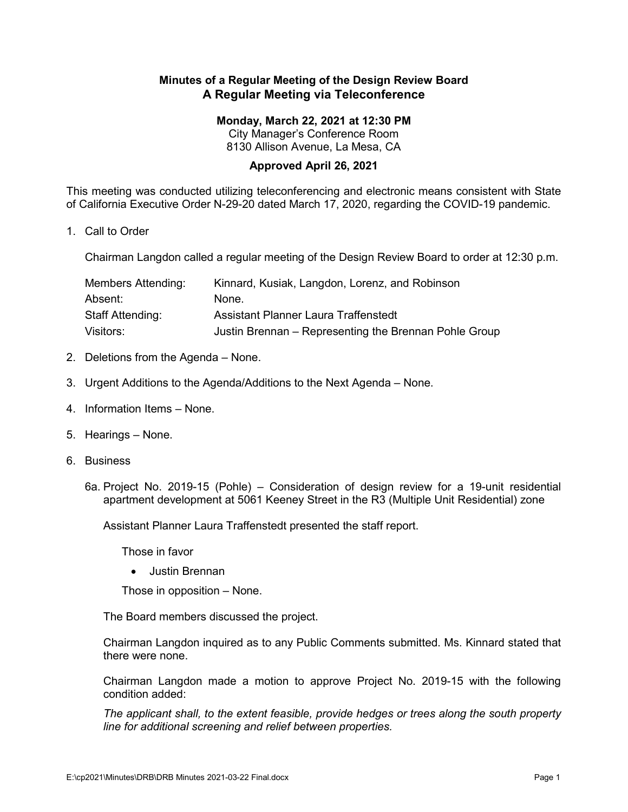## **Minutes of a Regular Meeting of the Design Review Board A Regular Meeting via Teleconference**

## **Monday, March 22, 2021 at 12:30 PM**

City Manager's Conference Room 8130 Allison Avenue, La Mesa, CA

## **Approved April 26, 2021**

This meeting was conducted utilizing teleconferencing and electronic means consistent with State of California Executive Order N-29-20 dated March 17, 2020, regarding the COVID-19 pandemic.

1. Call to Order

Chairman Langdon called a regular meeting of the Design Review Board to order at 12:30 p.m.

| Members Attending:      | Kinnard, Kusiak, Langdon, Lorenz, and Robinson        |
|-------------------------|-------------------------------------------------------|
| Absent:                 | None.                                                 |
| <b>Staff Attending:</b> | Assistant Planner Laura Traffenstedt                  |
| Visitors:               | Justin Brennan – Representing the Brennan Pohle Group |

- 2. Deletions from the Agenda None.
- 3. Urgent Additions to the Agenda/Additions to the Next Agenda None.
- 4. Information Items None.
- 5. Hearings None.
- 6. Business
	- 6a. Project No. 2019-15 (Pohle) Consideration of design review for a 19-unit residential apartment development at 5061 Keeney Street in the R3 (Multiple Unit Residential) zone

Assistant Planner Laura Traffenstedt presented the staff report.

Those in favor

• Justin Brennan

Those in opposition – None.

The Board members discussed the project.

Chairman Langdon inquired as to any Public Comments submitted. Ms. Kinnard stated that there were none.

Chairman Langdon made a motion to approve Project No. 2019-15 with the following condition added:

*The applicant shall, to the extent feasible, provide hedges or trees along the south property line for additional screening and relief between properties.*